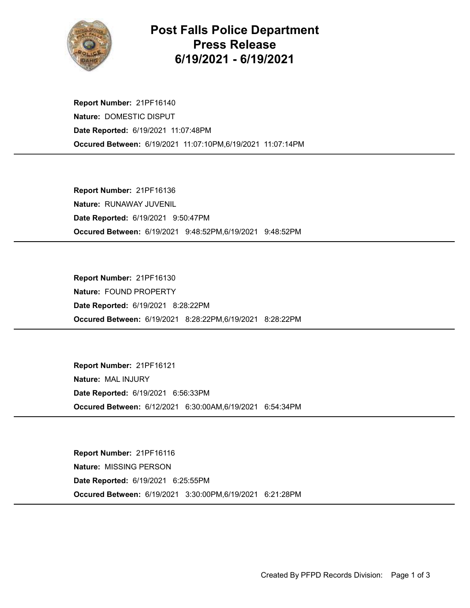

## Post Falls Police Department Press Release 6/19/2021 - 6/19/2021

Occured Between: 6/19/2021 11:07:10PM,6/19/2021 11:07:14PM Report Number: 21PF16140 Nature: DOMESTIC DISPUT Date Reported: 6/19/2021 11:07:48PM

Occured Between: 6/19/2021 9:48:52PM,6/19/2021 9:48:52PM Report Number: 21PF16136 Nature: RUNAWAY JUVENIL Date Reported: 6/19/2021 9:50:47PM

Occured Between: 6/19/2021 8:28:22PM,6/19/2021 8:28:22PM Report Number: 21PF16130 Nature: FOUND PROPERTY Date Reported: 6/19/2021 8:28:22PM

Occured Between: 6/12/2021 6:30:00AM,6/19/2021 6:54:34PM Report Number: 21PF16121 Nature: MAL INJURY Date Reported: 6/19/2021 6:56:33PM

Occured Between: 6/19/2021 3:30:00PM,6/19/2021 6:21:28PM Report Number: 21PF16116 Nature: MISSING PERSON Date Reported: 6/19/2021 6:25:55PM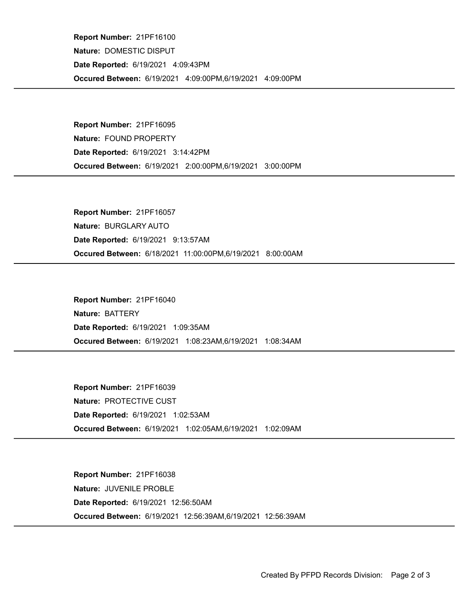Occured Between: 6/19/2021 4:09:00PM,6/19/2021 4:09:00PM Report Number: 21PF16100 Nature: DOMESTIC DISPUT Date Reported: 6/19/2021 4:09:43PM

Occured Between: 6/19/2021 2:00:00PM,6/19/2021 3:00:00PM Report Number: 21PF16095 Nature: FOUND PROPERTY Date Reported: 6/19/2021 3:14:42PM

Occured Between: 6/18/2021 11:00:00PM,6/19/2021 8:00:00AM Report Number: 21PF16057 Nature: BURGLARY AUTO Date Reported: 6/19/2021 9:13:57AM

Occured Between: 6/19/2021 1:08:23AM,6/19/2021 1:08:34AM Report Number: 21PF16040 Nature: BATTERY Date Reported: 6/19/2021 1:09:35AM

Occured Between: 6/19/2021 1:02:05AM,6/19/2021 1:02:09AM Report Number: 21PF16039 Nature: PROTECTIVE CUST Date Reported: 6/19/2021 1:02:53AM

Occured Between: 6/19/2021 12:56:39AM,6/19/2021 12:56:39AM Report Number: 21PF16038 Nature: JUVENILE PROBLE Date Reported: 6/19/2021 12:56:50AM